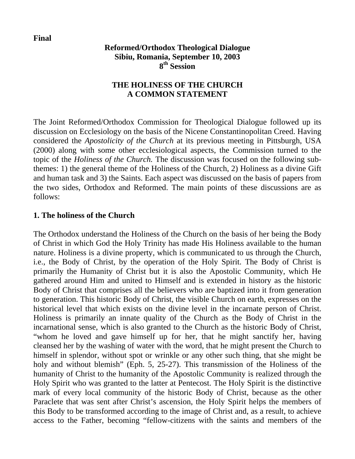**Final** 

## **Reformed/Orthodox Theological Dialogue Sibiu, Romania, September 10, 2003 8th Session**

# **THE HOLINESS OF THE CHURCH A COMMON STATEMENT**

The Joint Reformed/Orthodox Commission for Theological Dialogue followed up its discussion on Ecclesiology on the basis of the Nicene Constantinopolitan Creed. Having considered the *Apostolicity of the Church* at its previous meeting in Pittsburgh, USA (2000) along with some other ecclesiological aspects, the Commission turned to the topic of the *Holiness of the Church.* The discussion was focused on the following subthemes: 1) the general theme of the Holiness of the Church, 2) Holiness as a divine Gift and human task and 3) the Saints. Each aspect was discussed on the basis of papers from the two sides, Orthodox and Reformed. The main points of these discussions are as follows:

#### **1. The holiness of the Church**

The Orthodox understand the Holiness of the Church on the basis of her being the Body of Christ in which God the Holy Trinity has made His Holiness available to the human nature. Holiness is a divine property, which is communicated to us through the Church, i.e., the Body of Christ, by the operation of the Holy Spirit. The Body of Christ is primarily the Humanity of Christ but it is also the Apostolic Community, which He gathered around Him and united to Himself and is extended in history as the historic Body of Christ that comprises all the believers who are baptized into it from generation to generation. This historic Body of Christ, the visible Church on earth, expresses on the historical level that which exists on the divine level in the incarnate person of Christ. Holiness is primarily an innate quality of the Church as the Body of Christ in the incarnational sense, which is also granted to the Church as the historic Body of Christ, "whom he loved and gave himself up for her, that he might sanctify her, having cleansed her by the washing of water with the word, that he might present the Church to himself in splendor, without spot or wrinkle or any other such thing, that she might be holy and without blemish" (Eph. 5, 25-27). This transmission of the Holiness of the humanity of Christ to the humanity of the Apostolic Community is realized through the Holy Spirit who was granted to the latter at Pentecost. The Holy Spirit is the distinctive mark of every local community of the historic Body of Christ, because as the other Paraclete that was sent after Christ's ascension, the Holy Spirit helps the members of this Body to be transformed according to the image of Christ and, as a result, to achieve access to the Father, becoming "fellow-citizens with the saints and members of the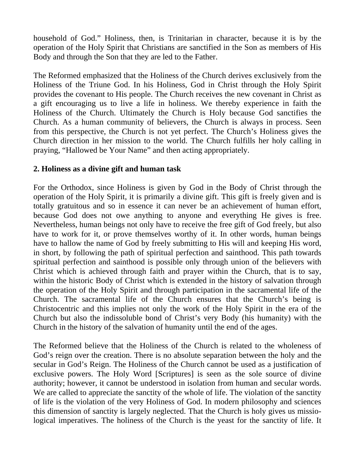household of God." Holiness, then, is Trinitarian in character, because it is by the operation of the Holy Spirit that Christians are sanctified in the Son as members of His Body and through the Son that they are led to the Father.

The Reformed emphasized that the Holiness of the Church derives exclusively from the Holiness of the Triune God. In his Holiness, God in Christ through the Holy Spirit provides the covenant to His people. The Church receives the new covenant in Christ as a gift encouraging us to live a life in holiness. We thereby experience in faith the Holiness of the Church. Ultimately the Church is Holy because God sanctifies the Church. As a human community of believers, the Church is always in process. Seen from this perspective, the Church is not yet perfect. The Church's Holiness gives the Church direction in her mission to the world. The Church fulfills her holy calling in praying, "Hallowed be Your Name" and then acting appropriately.

### **2. Holiness as a divine gift and human task**

For the Orthodox, since Holiness is given by God in the Body of Christ through the operation of the Holy Spirit, it is primarily a divine gift. This gift is freely given and is totally gratuitous and so in essence it can never be an achievement of human effort, because God does not owe anything to anyone and everything He gives is free. Nevertheless, human beings not only have to receive the free gift of God freely, but also have to work for it, or prove themselves worthy of it. In other words, human beings have to hallow the name of God by freely submitting to His will and keeping His word, in short, by following the path of spiritual perfection and sainthood. This path towards spiritual perfection and sainthood is possible only through union of the believers with Christ which is achieved through faith and prayer within the Church, that is to say, within the historic Body of Christ which is extended in the history of salvation through the operation of the Holy Spirit and through participation in the sacramental life of the Church. The sacramental life of the Church ensures that the Church's being is Christocentric and this implies not only the work of the Holy Spirit in the era of the Church but also the indissoluble bond of Christ's very Body (his humanity) with the Church in the history of the salvation of humanity until the end of the ages.

The Reformed believe that the Holiness of the Church is related to the wholeness of God's reign over the creation. There is no absolute separation between the holy and the secular in God's Reign. The Holiness of the Church cannot be used as a justification of exclusive powers. The Holy Word [Scriptures] is seen as the sole source of divine authority; however, it cannot be understood in isolation from human and secular words. We are called to appreciate the sanctity of the whole of life. The violation of the sanctity of life is the violation of the very Holiness of God. In modern philosophy and sciences this dimension of sanctity is largely neglected. That the Church is holy gives us missiological imperatives. The holiness of the Church is the yeast for the sanctity of life. It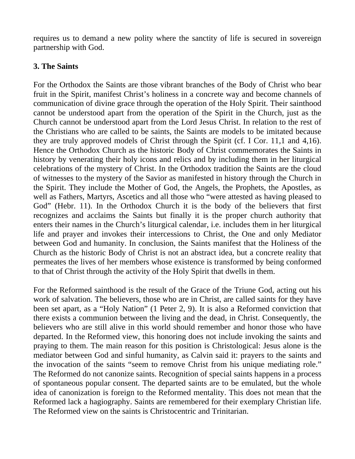requires us to demand a new polity where the sanctity of life is secured in sovereign partnership with God.

# **3. The Saints**

For the Orthodox the Saints are those vibrant branches of the Body of Christ who bear fruit in the Spirit, manifest Christ's holiness in a concrete way and become channels of communication of divine grace through the operation of the Holy Spirit. Their sainthood cannot be understood apart from the operation of the Spirit in the Church, just as the Church cannot be understood apart from the Lord Jesus Christ. In relation to the rest of the Christians who are called to be saints, the Saints are models to be imitated because they are truly approved models of Christ through the Spirit (cf. I Cor. 11,1 and 4,16). Hence the Orthodox Church as the historic Body of Christ commemorates the Saints in history by venerating their holy icons and relics and by including them in her liturgical celebrations of the mystery of Christ. In the Orthodox tradition the Saints are the cloud of witnesses to the mystery of the Savior as manifested in history through the Church in the Spirit. They include the Mother of God, the Angels, the Prophets, the Apostles, as well as Fathers, Martyrs, Ascetics and all those who "were attested as having pleased to God" (Hebr. 11). In the Orthodox Church it is the body of the believers that first recognizes and acclaims the Saints but finally it is the proper church authority that enters their names in the Church's liturgical calendar, i.e. includes them in her liturgical life and prayer and invokes their intercessions to Christ, the One and only Mediator between God and humanity. In conclusion, the Saints manifest that the Holiness of the Church as the historic Body of Christ is not an abstract idea, but a concrete reality that permeates the lives of her members whose existence is transformed by being conformed to that of Christ through the activity of the Holy Spirit that dwells in them.

For the Reformed sainthood is the result of the Grace of the Triune God, acting out his work of salvation. The believers, those who are in Christ, are called saints for they have been set apart, as a "Holy Nation" (1 Peter 2, 9). It is also a Reformed conviction that there exists a communion between the living and the dead, in Christ. Consequently, the believers who are still alive in this world should remember and honor those who have departed. In the Reformed view, this honoring does not include invoking the saints and praying to them. The main reason for this position is Christological: Jesus alone is the mediator between God and sinful humanity, as Calvin said it: prayers to the saints and the invocation of the saints "seem to remove Christ from his unique mediating role." The Reformed do not canonize saints. Recognition of special saints happens in a process of spontaneous popular consent. The departed saints are to be emulated, but the whole idea of canonization is foreign to the Reformed mentality. This does not mean that the Reformed lack a hagiography. Saints are remembered for their exemplary Christian life. The Reformed view on the saints is Christocentric and Trinitarian.